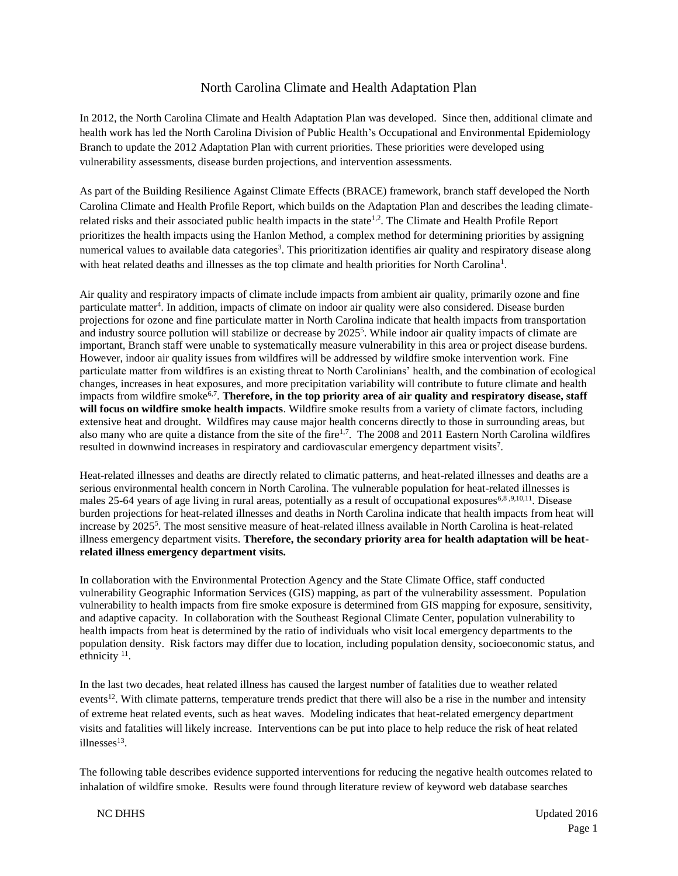## <span id="page-0-0"></span>North Carolina Climate and Health Adaptation Plan

In 2012, the North Carolina Climate and Health Adaptation Plan was developed. Since then, additional climate and health work has led the North Carolina Division of Public Health's Occupational and Environmental Epidemiology Branch to update the 2012 Adaptation Plan with current priorities. These priorities were developed using vulnerability assessments, disease burden projections, and intervention assessments.

As part of the Building Resilience Against Climate Effects (BRACE) framework, branch staff developed the North Carolina Climate and Health Profile Report, which builds on the Adaptation Plan and describes the leading climaterelated risks and their associated public health impacts in the state<sup>1,2</sup>. The Climate and Health Profile Report prioritizes the health impacts using the Hanlon Method, a complex method for determining priorities by assigning numerical values to available data categories<sup>3</sup>. This prioritization identifies air quality and respiratory disease along with heat related deaths and illnesses as the top climate and health priorities for North Carolina<sup>1</sup>[.](#page-0-0)

<span id="page-0-3"></span>Air quality and respiratory impacts of climate include impacts from ambient air quality, primarily ozone and fine particulate matter<sup>4</sup>. In addition, impacts of climate on indoor air quality were also considered. Disease burden projections for ozone and fine particulate matter in North Carolina indicate that health impacts from transportation and industry source pollution will stabilize or decrease by 2025<sup>5</sup>. While indoor air quality impacts of climate are important, Branch staff were unable to systematically measure vulnerability in this area or project disease burdens. However, indoor air quality issues from wildfires will be addressed by wildfire smoke intervention work. Fine particulate matter from wildfires is an existing threat to North Carolinians' health, and the combination of ecological changes, increases in heat exposures, and more precipitation variability will contribute to future climate and health impacts from wildfire smoke[6,7](#page-0-1) . **Therefore, in the top priority area of air quality and respiratory disease, staff will focus on wildfire smoke health impacts**. Wildfire smoke results from a variety of climate factors, including extensive heat and drought. Wildfires may cause major health concerns directly to those in surrounding areas, but also many who are quite a distance from the site of the fire<sup>[1,7](#page-0-0)</sup>. The 2008 and 2011 Eastern North Carolina wildfires resulted in downwind increases in respiratory and cardiovascular emergency department visits<sup>7</sup>.

<span id="page-0-2"></span><span id="page-0-1"></span>Heat-related illnesses and deaths are directly related to climatic patterns, and heat-related illnesses and deaths are a serious environmental health concern in North Carolina. The vulnerable population for heat-related illnesses is males 25-64 years of age living in rural areas, potentially as a result of occupational exposures<sup>[6,8](#page-0-2),9,10,11</sup>. Disease burden projections for heat-related illnesses and deaths in North Carolina indicate that health impacts from heat will increase by 2025[5](#page-0-3) . The most sensitive measure of heat-related illness available in North Carolina is heat-related illness emergency department visits. **Therefore, the secondary priority area for health adaptation will be heatrelated illness emergency department visits.**

In collaboration with the Environmental Protection Agency and the State Climate Office, staff conducted vulnerability Geographic Information Services (GIS) mapping, as part of the vulnerability assessment. Population vulnerability to health impacts from fire smoke exposure is determined from GIS mapping for exposure, sensitivity, and adaptive capacity. In collaboration with the Southeast Regional Climate Center, population vulnerability to health impacts from heat is determined by the ratio of individuals who visit local emergency departments to the population density. Risk factors may differ due to location, including population density, socioeconomic status, and ethnicity  $11$ .

In the last two decades, heat related illness has caused the largest number of fatalities due to weather related events<sup>12</sup>. With climate patterns, temperature trends predict that there will also be a rise in the number and intensity of extreme heat related events, such as heat waves. Modeling indicates that heat-related emergency department visits and fatalities will likely increase. Interventions can be put into place to help reduce the risk of heat related illnesses<sup>13</sup>.

The following table describes evidence supported interventions for reducing the negative health outcomes related to inhalation of wildfire smoke. Results were found through literature review of keyword web database searches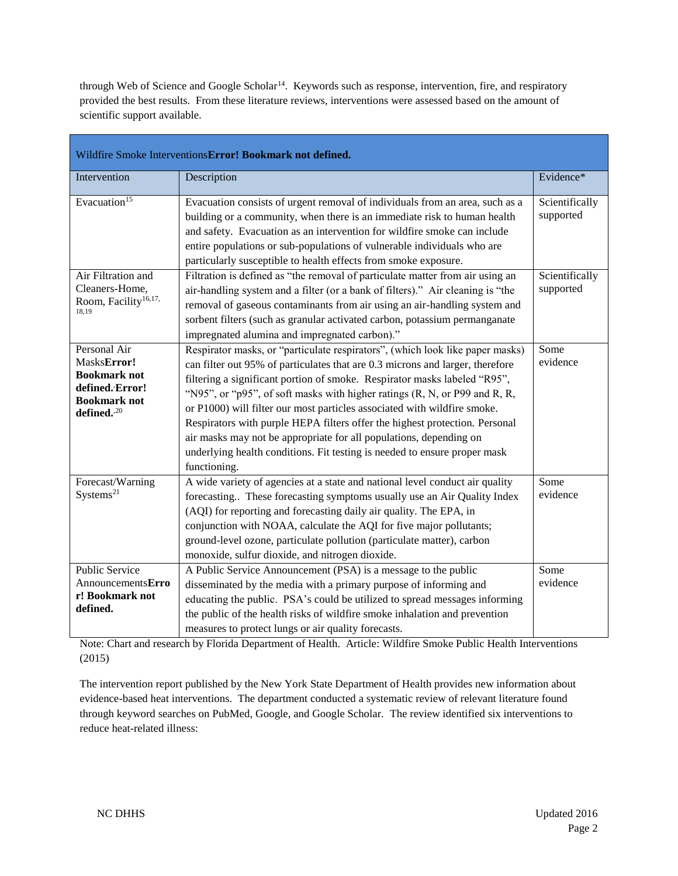through Web of Science and Google Scholar<sup>14</sup>. Keywords such as response, intervention, fire, and respiratory provided the best results. From these literature reviews, interventions were assessed based on the amount of scientific support available.

| Wildfire Smoke Interventions Error! Bookmark not defined.                                                               |                                                                                                                                                                                                                                                                                                                                                                                                                                                                                                                                                                                                                                                              |                             |  |
|-------------------------------------------------------------------------------------------------------------------------|--------------------------------------------------------------------------------------------------------------------------------------------------------------------------------------------------------------------------------------------------------------------------------------------------------------------------------------------------------------------------------------------------------------------------------------------------------------------------------------------------------------------------------------------------------------------------------------------------------------------------------------------------------------|-----------------------------|--|
| Intervention                                                                                                            | Description                                                                                                                                                                                                                                                                                                                                                                                                                                                                                                                                                                                                                                                  | Evidence*                   |  |
| Evacuation <sup>15</sup>                                                                                                | Evacuation consists of urgent removal of individuals from an area, such as a<br>building or a community, when there is an immediate risk to human health<br>and safety. Evacuation as an intervention for wildfire smoke can include<br>entire populations or sub-populations of vulnerable individuals who are<br>particularly susceptible to health effects from smoke exposure.                                                                                                                                                                                                                                                                           | Scientifically<br>supported |  |
| Air Filtration and<br>Cleaners-Home,<br>Room, Facility <sup>16,17,</sup><br>18,19                                       | Filtration is defined as "the removal of particulate matter from air using an<br>air-handling system and a filter (or a bank of filters)." Air cleaning is "the<br>removal of gaseous contaminants from air using an air-handling system and<br>sorbent filters (such as granular activated carbon, potassium permanganate<br>impregnated alumina and impregnated carbon)."                                                                                                                                                                                                                                                                                  | Scientifically<br>supported |  |
| Personal Air<br>MasksError!<br><b>Bookmark not</b><br>defined. Error!<br><b>Bookmark not</b><br>defined. <sup>,20</sup> | Respirator masks, or "particulate respirators", (which look like paper masks)<br>can filter out 95% of particulates that are 0.3 microns and larger, therefore<br>filtering a significant portion of smoke. Respirator masks labeled "R95",<br>"N95", or "p95", of soft masks with higher ratings $(R, N, or P99)$ and $R, R,$<br>or P1000) will filter our most particles associated with wildfire smoke.<br>Respirators with purple HEPA filters offer the highest protection. Personal<br>air masks may not be appropriate for all populations, depending on<br>underlying health conditions. Fit testing is needed to ensure proper mask<br>functioning. | Some<br>evidence            |  |
| Forecast/Warning<br>Systems <sup>21</sup>                                                                               | A wide variety of agencies at a state and national level conduct air quality<br>forecasting These forecasting symptoms usually use an Air Quality Index<br>(AQI) for reporting and forecasting daily air quality. The EPA, in<br>conjunction with NOAA, calculate the AQI for five major pollutants;<br>ground-level ozone, particulate pollution (particulate matter), carbon<br>monoxide, sulfur dioxide, and nitrogen dioxide.                                                                                                                                                                                                                            | Some<br>evidence            |  |
| <b>Public Service</b><br>AnnouncementsErro<br>r! Bookmark not<br>defined.                                               | A Public Service Announcement (PSA) is a message to the public<br>disseminated by the media with a primary purpose of informing and<br>educating the public. PSA's could be utilized to spread messages informing<br>the public of the health risks of wildfire smoke inhalation and prevention<br>measures to protect lungs or air quality forecasts.                                                                                                                                                                                                                                                                                                       | Some<br>evidence            |  |

Note: Chart and research by Florida Department of Health. Article: Wildfire Smoke Public Health Interventions (2015)

The intervention report published by the New York State Department of Health provides new information about evidence-based heat interventions. The department conducted a systematic review of relevant literature found through keyword searches on PubMed, Google, and Google Scholar. The review identified six interventions to reduce heat-related illness: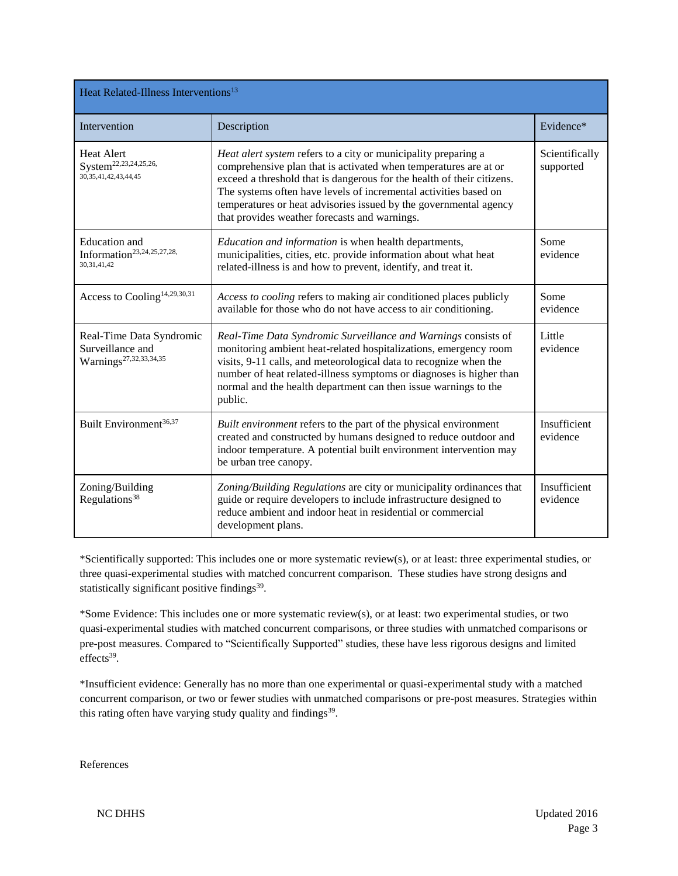<span id="page-2-3"></span><span id="page-2-2"></span><span id="page-2-1"></span><span id="page-2-0"></span>

| Heat Related-Illness Interventions <sup>13</sup>                                     |                                                                                                                                                                                                                                                                                                                                                                                                        |                             |  |  |
|--------------------------------------------------------------------------------------|--------------------------------------------------------------------------------------------------------------------------------------------------------------------------------------------------------------------------------------------------------------------------------------------------------------------------------------------------------------------------------------------------------|-----------------------------|--|--|
| Intervention                                                                         | Description                                                                                                                                                                                                                                                                                                                                                                                            | Evidence*                   |  |  |
| <b>Heat Alert</b><br>System <sup>22,23,24,25,26,</sup><br>30, 35, 41, 42, 43, 44, 45 | Heat alert system refers to a city or municipality preparing a<br>comprehensive plan that is activated when temperatures are at or<br>exceed a threshold that is dangerous for the health of their citizens.<br>The systems often have levels of incremental activities based on<br>temperatures or heat advisories issued by the governmental agency<br>that provides weather forecasts and warnings. | Scientifically<br>supported |  |  |
| <b>Education</b> and<br>Information <sup>23,24,25,27,28,</sup><br>30.31.41.42        | Education and information is when health departments,<br>municipalities, cities, etc. provide information about what heat<br>related-illness is and how to prevent, identify, and treat it.                                                                                                                                                                                                            | Some<br>evidence            |  |  |
| Access to Cooling <sup>14,29,30,31</sup>                                             | Access to cooling refers to making air conditioned places publicly<br>available for those who do not have access to air conditioning.                                                                                                                                                                                                                                                                  | Some<br>evidence            |  |  |
| Real-Time Data Syndromic<br>Surveillance and<br>Warnings <sup>27,32,33,34,35</sup>   | Real-Time Data Syndromic Surveillance and Warnings consists of<br>monitoring ambient heat-related hospitalizations, emergency room<br>visits, 9-11 calls, and meteorological data to recognize when the<br>number of heat related-illness symptoms or diagnoses is higher than<br>normal and the health department can then issue warnings to the<br>public.                                           | Little<br>evidence          |  |  |
| Built Environment <sup>36,37</sup>                                                   | Built environment refers to the part of the physical environment<br>created and constructed by humans designed to reduce outdoor and<br>indoor temperature. A potential built environment intervention may<br>be urban tree canopy.                                                                                                                                                                    | Insufficient<br>evidence    |  |  |
| Zoning/Building<br>Regulations <sup>38</sup>                                         | Zoning/Building Regulations are city or municipality ordinances that<br>guide or require developers to include infrastructure designed to<br>reduce ambient and indoor heat in residential or commercial<br>development plans.                                                                                                                                                                         | Insufficient<br>evidence    |  |  |

<span id="page-2-4"></span>\*Scientifically supported: This includes one or more systematic review(s), or at least: three experimental studies, or three quasi-experimental studies with matched concurrent comparison. These studies have strong designs and statistically significant positive findings $39$ .

\*Some Evidence: This includes one or more systematic review(s), or at least: two experimental studies, or two quasi-experimental studies with matched concurrent comparisons, or three studies with unmatched comparisons or pre-post measures. Compared to "Scientifically Supported" studies, these have less rigorous designs and limited  $effects<sup>39</sup>$  $effects<sup>39</sup>$  $effects<sup>39</sup>$ .

\*Insufficient evidence: Generally has no more than one experimental or quasi-experimental study with a matched concurrent comparison, or two or fewer studies with unmatched comparisons or pre-post measures. Strategies within this rating often have varying study quality and findings<sup>[39](#page-2-4)</sup>.

References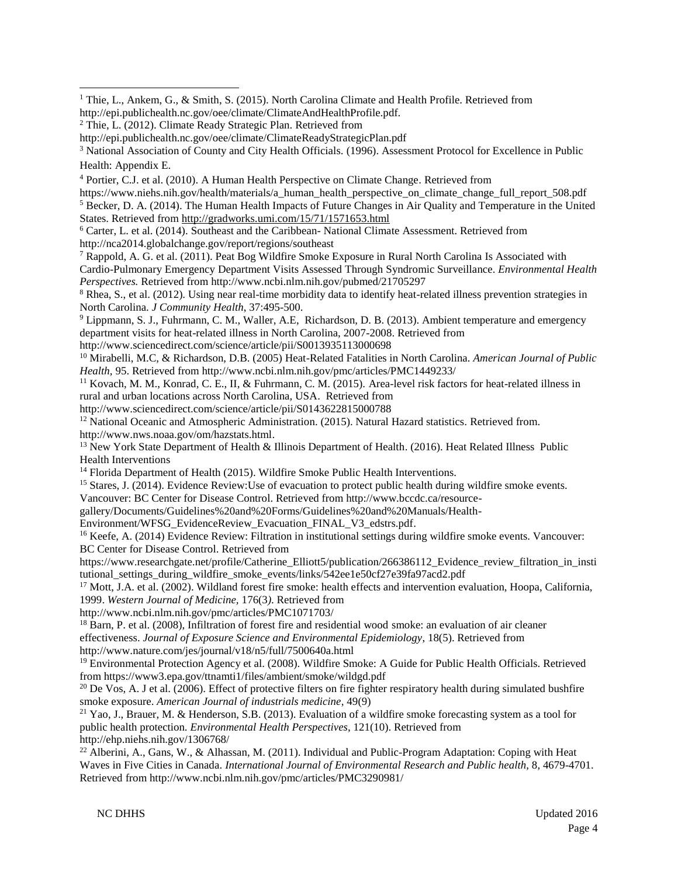<sup>1</sup> Thie, L., Ankem, G., & Smith, S. (2015). North Carolina Climate and Health Profile. Retrieved from http://epi.publichealth.nc.gov/oee/climate/ClimateAndHealthProfile.pdf.

<sup>4</sup> Portier, C.J. et al. (2010). A Human Health Perspective on Climate Change. Retrieved from

https://www.niehs.nih.gov/health/materials/a human\_health\_perspective\_on\_climate\_change\_full\_report\_508.pdf <sup>5</sup> Becker, D. A. (2014). The Human Health Impacts of Future Changes in Air Quality and Temperature in the United States. Retrieved from<http://gradworks.umi.com/15/71/1571653.html>

<sup>6</sup> Carter, L. et al. (2014). Southeast and the Caribbean- National Climate Assessment. Retrieved from http://nca2014.globalchange.gov/report/regions/southeast

<sup>7</sup> Rappold, A. G. et al. (2011). Peat Bog Wildfire Smoke Exposure in Rural North Carolina Is Associated with Cardio-Pulmonary Emergency Department Visits Assessed Through Syndromic Surveillance. *Environmental Health Perspectives.* Retrieved from http://www.ncbi.nlm.nih.gov/pubmed/21705297

<sup>8</sup> Rhea, S., et al. (2012). Using near real-time morbidity data to identify heat-related illness prevention strategies in North Carolina. *J Community Health*, 37:495-500.

<sup>9</sup> Lippmann, S. J., Fuhrmann, C. M., Waller, A.E, Richardson, D. B. (2013). Ambient temperature and emergency department visits for heat-related illness in North Carolina, 2007-2008. Retrieved from http://www.sciencedirect.com/science/article/pii/S0013935113000698

<sup>10</sup> Mirabelli, M.C, & Richardson, D.B. (2005) Heat-Related Fatalities in North Carolina. *American Journal of Public Health,* 95. Retrieved from http://www.ncbi.nlm.nih.gov/pmc/articles/PMC1449233/

<sup>11</sup> Kovach, M. M., Konrad, C. E., II, & Fuhrmann, C. M. (2015). Area-level risk factors for heat-related illness in rural and urban locations across North Carolina, USA. Retrieved from

http://www.sciencedirect.com/science/article/pii/S0143622815000788

<sup>12</sup> National Oceanic and Atmospheric Administration. (2015). Natural Hazard statistics. Retrieved from.

http://www.nws.noaa.gov/om/hazstats.html.

<sup>13</sup> New York State Department of Health & Illinois Department of Health. (2016). Heat Related Illness Public Health Interventions

<sup>14</sup> Florida Department of Health (2015). Wildfire Smoke Public Health Interventions.

<sup>15</sup> Stares, J. (2014). Evidence Review:Use of evacuation to protect public health during wildfire smoke events.

Vancouver: BC Center for Disease Control. Retrieved from [http://www.bccdc.ca/resource-](http://www.bccdc.ca/resource-gallery/Documents/Guidelines%20and%20Forms/Guidelines%20and%20Manuals/Health-Environment/WFSG_EvidenceReview_Evacuation_FINAL_V3_edstrs.pdf)

[gallery/Documents/Guidelines%20and%20Forms/Guidelines%20and%20Manuals/Health-](http://www.bccdc.ca/resource-gallery/Documents/Guidelines%20and%20Forms/Guidelines%20and%20Manuals/Health-Environment/WFSG_EvidenceReview_Evacuation_FINAL_V3_edstrs.pdf)

[Environment/WFSG\\_EvidenceReview\\_Evacuation\\_FINAL\\_V3\\_edstrs.pdf.](http://www.bccdc.ca/resource-gallery/Documents/Guidelines%20and%20Forms/Guidelines%20and%20Manuals/Health-Environment/WFSG_EvidenceReview_Evacuation_FINAL_V3_edstrs.pdf)

<sup>16</sup> Keefe, A. (2014) Evidence Review: Filtration in institutional settings during wildfire smoke events. Vancouver: BC Center for Disease Control. Retrieved from

https://www.researchgate.net/profile/Catherine\_Elliott5/publication/266386112\_Evidence\_review\_filtration\_in\_insti tutional\_settings\_during\_wildfire\_smoke\_events/links/542ee1e50cf27e39fa97acd2.pdf

<sup>17</sup> Mott, J.A. et al. (2002). Wildland forest fire smoke: health effects and intervention evaluation, Hoopa, California, 1999. *Western Journal of Medicine,* 176(3*)*. Retrieved from

http://www.ncbi.nlm.nih.gov/pmc/articles/PMC1071703/

<sup>18</sup> Barn, P. et al. (2008), Infiltration of forest fire and residential wood smoke: an evaluation of air cleaner effectiveness. *Journal of Exposure Science and Environmental Epidemiology*, 18(5). Retrieved from http://www.nature.com/jes/journal/v18/n5/full/7500640a.html

<sup>19</sup> Environmental Protection Agency et al. (2008). Wildfire Smoke: A Guide for Public Health Officials. Retrieved from https://www3.epa.gov/ttnamti1/files/ambient/smoke/wildgd.pdf

 $20$  De Vos, A. J et al. (2006). Effect of protective filters on fire fighter respiratory health during simulated bushfire smoke exposure. *American Journal of industrials medicine*, 49(9)

 $21$  Yao, J., Brauer, M. & Henderson, S.B. (2013). Evaluation of a wildfire smoke forecasting system as a tool for public health protection. *Environmental Health Perspectives*, 121(10). Retrieved from http://ehp.niehs.nih.gov/1306768/

<sup>22</sup> Alberini, A., Gans, W., & Alhassan, M. (2011). Individual and Public-Program Adaptation: Coping with Heat Waves in Five Cities in Canada. *International Journal of Environmental Research and Public health,* 8, 4679-4701. Retrieved from http://www.ncbi.nlm.nih.gov/pmc/articles/PMC3290981/

<sup>&</sup>lt;sup>2</sup> Thie, L. (2012). Climate Ready Strategic Plan. Retrieved from

http://epi.publichealth.nc.gov/oee/climate/ClimateReadyStrategicPlan.pdf

<sup>&</sup>lt;sup>3</sup> National Association of County and City Health Officials. (1996). Assessment Protocol for Excellence in Public Health: Appendix E.